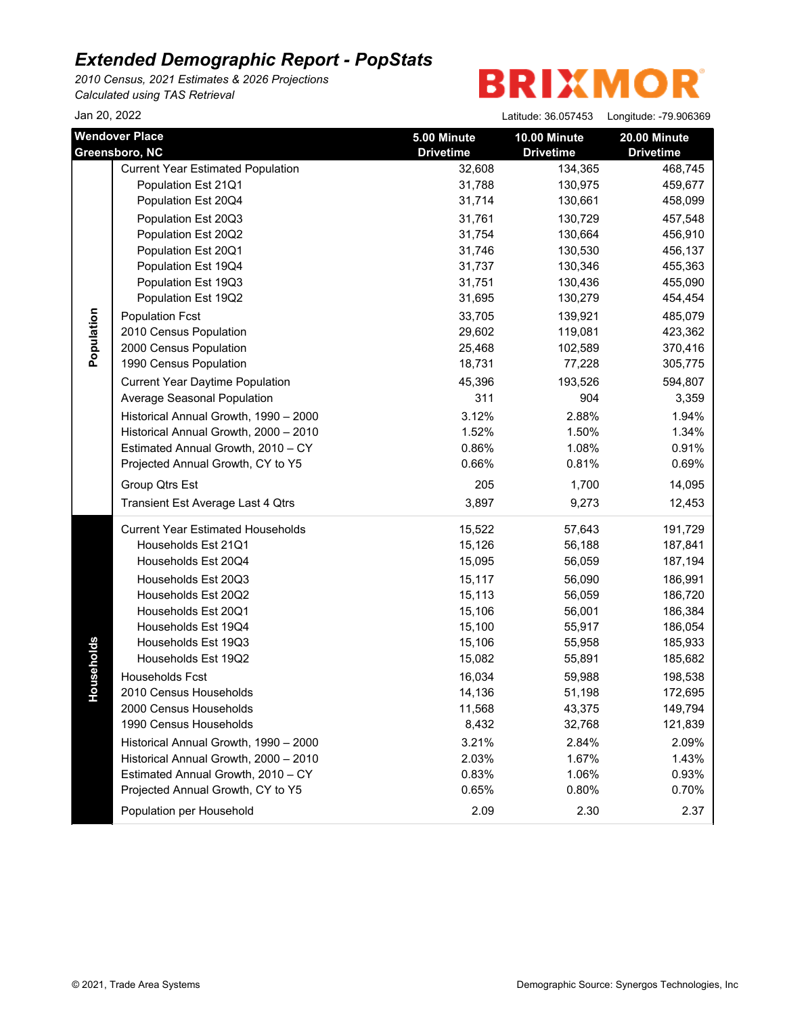*2010 Census, 2021 Estimates & 2026 Projections Calculated using TAS Retrieval*

 $\frac{1}{2}$  an 20, 2022  $\frac{20}{20}$  Latitude: 36.057453 Longitude: 79.006369

| Jali ZU, ZUZZ                           |                                          |                                 | $L$ atitude: 36.05/453           | Longitude: -79.906369            |
|-----------------------------------------|------------------------------------------|---------------------------------|----------------------------------|----------------------------------|
| <b>Wendover Place</b><br>Greensboro, NC |                                          | 5.00 Minute<br><b>Drivetime</b> | 10.00 Minute<br><b>Drivetime</b> | 20.00 Minute<br><b>Drivetime</b> |
|                                         | <b>Current Year Estimated Population</b> | 32,608                          | 134,365                          | 468,745                          |
|                                         | Population Est 21Q1                      | 31,788                          | 130,975                          | 459,677                          |
|                                         | Population Est 20Q4                      | 31,714                          | 130,661                          | 458,099                          |
|                                         | Population Est 20Q3                      | 31,761                          | 130,729                          | 457,548                          |
|                                         | Population Est 20Q2                      | 31,754                          | 130,664                          | 456,910                          |
|                                         | Population Est 20Q1                      | 31,746                          | 130,530                          | 456,137                          |
|                                         | Population Est 19Q4                      | 31,737                          | 130,346                          | 455,363                          |
|                                         | Population Est 19Q3                      | 31,751                          | 130,436                          | 455,090                          |
|                                         | Population Est 19Q2                      | 31,695                          | 130,279                          | 454,454                          |
| Population                              | <b>Population Fcst</b>                   | 33,705                          | 139,921                          | 485,079                          |
|                                         | 2010 Census Population                   | 29,602                          | 119,081                          | 423,362                          |
|                                         | 2000 Census Population                   | 25,468                          | 102,589                          | 370,416                          |
|                                         | 1990 Census Population                   | 18,731                          | 77,228                           | 305,775                          |
|                                         | <b>Current Year Daytime Population</b>   | 45,396                          | 193,526                          | 594,807                          |
|                                         | Average Seasonal Population              | 311                             | 904                              | 3,359                            |
|                                         | Historical Annual Growth, 1990 - 2000    | 3.12%                           | 2.88%                            | 1.94%                            |
|                                         | Historical Annual Growth, 2000 - 2010    | 1.52%                           | 1.50%                            | 1.34%                            |
|                                         | Estimated Annual Growth, 2010 - CY       | 0.86%                           | 1.08%                            | 0.91%                            |
|                                         | Projected Annual Growth, CY to Y5        | 0.66%                           | 0.81%                            | 0.69%                            |
|                                         | Group Qtrs Est                           | 205                             | 1,700                            | 14,095                           |
|                                         | Transient Est Average Last 4 Qtrs        | 3,897                           | 9,273                            | 12,453                           |
|                                         | <b>Current Year Estimated Households</b> | 15,522                          | 57,643                           | 191,729                          |
|                                         | Households Est 21Q1                      | 15,126                          | 56,188                           | 187,841                          |
|                                         | Households Est 20Q4                      | 15,095                          | 56,059                           | 187,194                          |
|                                         | Households Est 20Q3                      | 15,117                          | 56,090                           | 186,991                          |
|                                         | Households Est 20Q2                      | 15,113                          | 56,059                           | 186,720                          |
|                                         | Households Est 20Q1                      | 15,106                          | 56,001                           | 186,384                          |
|                                         | Households Est 19Q4                      | 15,100                          | 55,917                           | 186,054                          |
|                                         | Households Est 19Q3                      | 15,106                          | 55,958                           | 185,933                          |
| puseholds                               | Households Est 19Q2                      | 15,082                          | 55,891                           | 185,682                          |
|                                         | <b>Households Fcst</b>                   | 16,034                          | 59,988                           | 198,538                          |
| ř.                                      | 2010 Census Households                   | 14,136                          | 51,198                           | 172,695                          |
|                                         | 2000 Census Households                   | 11,568                          | 43,375                           | 149,794                          |
|                                         | 1990 Census Households                   | 8,432                           | 32,768                           | 121,839                          |
|                                         | Historical Annual Growth, 1990 - 2000    | 3.21%                           | 2.84%                            | 2.09%                            |
|                                         | Historical Annual Growth, 2000 - 2010    | 2.03%                           | 1.67%                            | 1.43%                            |
|                                         | Estimated Annual Growth, 2010 - CY       | 0.83%                           | 1.06%                            | 0.93%                            |
|                                         | Projected Annual Growth, CY to Y5        | 0.65%                           | 0.80%                            | 0.70%                            |
|                                         | Population per Household                 | 2.09                            | 2.30                             | 2.37                             |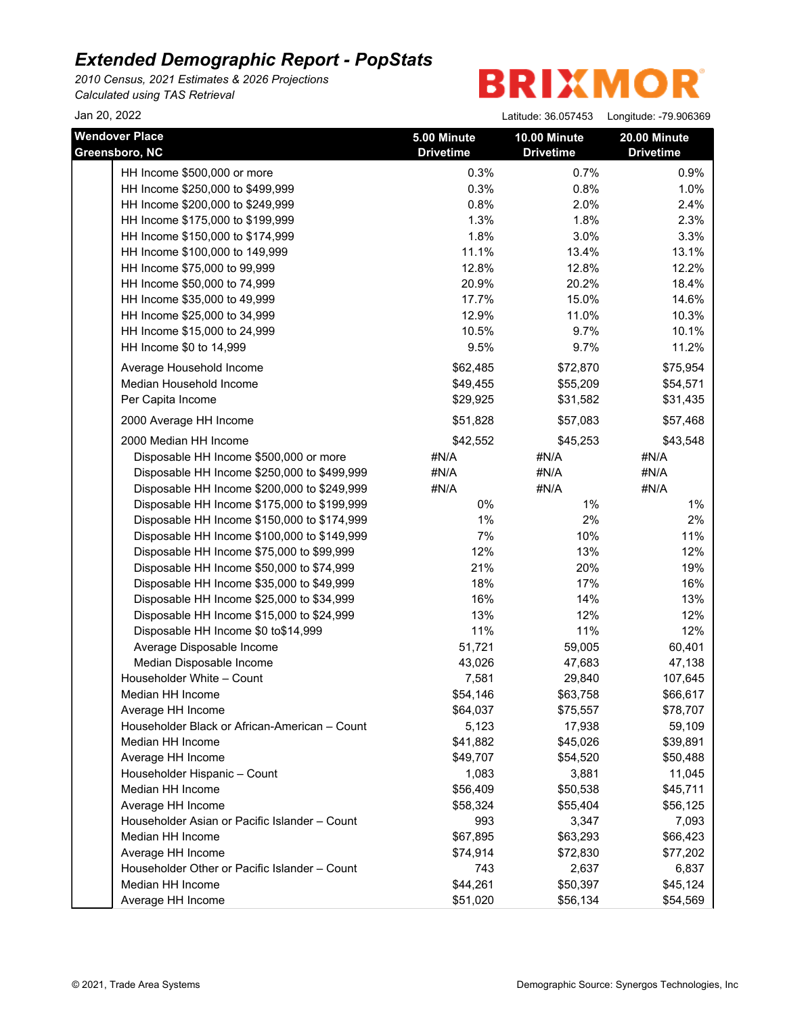*2010 Census, 2021 Estimates & 2026 Projections Calculated using TAS Retrieval*

**BRIXMOR** 

Jan 20, 2022 Latitude: 36.057453 Longitude: -79.906369

| <b>Wendover Place</b><br>Greensboro, NC       | 5.00 Minute<br><b>Drivetime</b> | 10.00 Minute<br><b>Drivetime</b> | 20.00 Minute<br><b>Drivetime</b> |
|-----------------------------------------------|---------------------------------|----------------------------------|----------------------------------|
| HH Income \$500,000 or more                   | 0.3%                            | 0.7%                             | 0.9%                             |
| HH Income \$250,000 to \$499,999              | 0.3%                            | 0.8%                             | 1.0%                             |
| HH Income \$200,000 to \$249,999              | 0.8%                            | 2.0%                             | 2.4%                             |
| HH Income \$175,000 to \$199,999              | 1.3%                            | 1.8%                             | 2.3%                             |
| HH Income \$150,000 to \$174,999              | 1.8%                            | 3.0%                             | 3.3%                             |
| HH Income \$100,000 to 149,999                | 11.1%                           | 13.4%                            | 13.1%                            |
| HH Income \$75,000 to 99,999                  | 12.8%                           | 12.8%                            | 12.2%                            |
| HH Income \$50,000 to 74,999                  | 20.9%                           | 20.2%                            | 18.4%                            |
| HH Income \$35,000 to 49,999                  | 17.7%                           | 15.0%                            | 14.6%                            |
| HH Income \$25,000 to 34,999                  | 12.9%                           | 11.0%                            | 10.3%                            |
| HH Income \$15,000 to 24,999                  | 10.5%                           | 9.7%                             | 10.1%                            |
| HH Income \$0 to 14,999                       | 9.5%                            | 9.7%                             | 11.2%                            |
| Average Household Income                      | \$62,485                        | \$72,870                         | \$75,954                         |
| Median Household Income                       | \$49,455                        | \$55,209                         | \$54,571                         |
| Per Capita Income                             | \$29,925                        | \$31,582                         | \$31,435                         |
| 2000 Average HH Income                        | \$51,828                        | \$57,083                         | \$57,468                         |
| 2000 Median HH Income                         | \$42,552                        | \$45,253                         | \$43,548                         |
| Disposable HH Income \$500,000 or more        | #N/A                            | #N/A                             | #N/A                             |
| Disposable HH Income \$250,000 to \$499,999   | #N/A                            | #N/A                             | #N/A                             |
| Disposable HH Income \$200,000 to \$249,999   | #N/A                            | #N/A                             | #N/A                             |
| Disposable HH Income \$175,000 to \$199,999   | 0%                              | $1\%$                            | 1%                               |
| Disposable HH Income \$150,000 to \$174,999   | 1%                              | 2%                               | 2%                               |
| Disposable HH Income \$100,000 to \$149,999   | 7%                              | 10%                              | 11%                              |
| Disposable HH Income \$75,000 to \$99,999     | 12%                             | 13%                              | 12%                              |
| Disposable HH Income \$50,000 to \$74,999     | 21%                             | 20%                              | 19%                              |
| Disposable HH Income \$35,000 to \$49,999     | 18%                             | 17%                              | 16%                              |
| Disposable HH Income \$25,000 to \$34,999     | 16%                             | 14%                              | 13%                              |
| Disposable HH Income \$15,000 to \$24,999     | 13%                             | 12%                              | 12%                              |
| Disposable HH Income \$0 to\$14,999           | 11%                             | 11%                              | 12%                              |
| Average Disposable Income                     | 51,721                          | 59,005                           | 60,401                           |
| Median Disposable Income                      | 43,026                          | 47,683                           | 47,138                           |
| Householder White - Count                     | 7,581                           | 29,840                           | 107,645                          |
| Median HH Income                              | \$54,146                        | \$63,758                         | \$66,617                         |
| Average HH Income                             | \$64,037                        | \$75,557                         | \$78,707                         |
| Householder Black or African-American - Count | 5,123                           | 17,938                           | 59,109                           |
| Median HH Income                              | \$41,882                        | \$45,026                         | \$39,891                         |
| Average HH Income                             | \$49,707                        | \$54,520                         | \$50,488                         |
| Householder Hispanic - Count                  | 1,083                           | 3,881                            | 11,045                           |
| Median HH Income                              | \$56,409                        | \$50,538                         | \$45,711                         |
| Average HH Income                             | \$58,324                        | \$55,404                         | \$56,125                         |
| Householder Asian or Pacific Islander - Count | 993                             | 3,347                            | 7,093                            |
| Median HH Income                              | \$67,895                        | \$63,293                         | \$66,423                         |
| Average HH Income                             | \$74,914                        | \$72,830                         | \$77,202                         |
| Householder Other or Pacific Islander - Count | 743                             | 2,637                            | 6,837                            |
| Median HH Income                              | \$44,261                        | \$50,397                         | \$45,124                         |
| Average HH Income                             | \$51,020                        | \$56,134                         | \$54,569                         |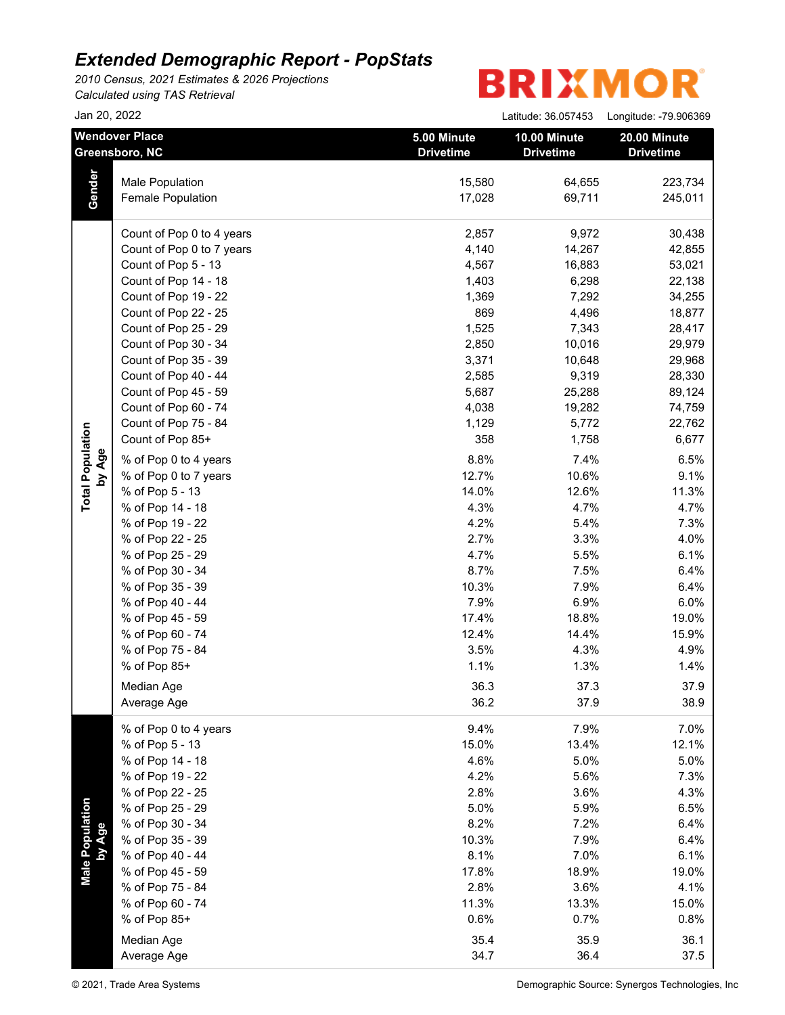*2010 Census, 2021 Estimates & 2026 Projections Calculated using TAS Retrieval*

 $\frac{1}{2}$  an 20, 2022  $\frac{20}{20}$  Latitude: 36.057453 Longitude: 79.006369

|                                   | Jali ZU, ZUZZ                                |                                 | Latitude: $30.057453$            | rougings: -18.800308             |
|-----------------------------------|----------------------------------------------|---------------------------------|----------------------------------|----------------------------------|
|                                   | <b>Wendover Place</b><br>Greensboro, NC      | 5.00 Minute<br><b>Drivetime</b> | 10.00 Minute<br><b>Drivetime</b> | 20.00 Minute<br><b>Drivetime</b> |
|                                   | Male Population                              | 15,580                          | 64,655                           | 223,734                          |
| Gender                            | Female Population                            | 17,028                          | 69,711                           | 245,011                          |
|                                   |                                              |                                 |                                  |                                  |
|                                   | Count of Pop 0 to 4 years                    | 2,857                           | 9,972                            | 30,438                           |
|                                   | Count of Pop 0 to 7 years                    | 4,140                           | 14,267                           | 42,855                           |
|                                   | Count of Pop 5 - 13                          | 4,567                           | 16,883                           | 53,021                           |
|                                   | Count of Pop 14 - 18                         | 1,403                           | 6,298                            | 22,138                           |
|                                   | Count of Pop 19 - 22                         | 1,369                           | 7,292                            | 34,255                           |
|                                   | Count of Pop 22 - 25                         | 869                             | 4,496                            | 18,877                           |
|                                   | Count of Pop 25 - 29                         | 1,525                           | 7,343                            | 28,417                           |
|                                   | Count of Pop 30 - 34                         | 2,850                           | 10,016                           | 29,979                           |
|                                   | Count of Pop 35 - 39                         | 3,371                           | 10,648                           | 29,968                           |
|                                   | Count of Pop 40 - 44                         | 2,585                           | 9,319                            | 28,330                           |
|                                   | Count of Pop 45 - 59                         | 5,687                           | 25,288                           | 89,124                           |
|                                   | Count of Pop 60 - 74<br>Count of Pop 75 - 84 | 4,038                           | 19,282                           | 74,759                           |
|                                   | Count of Pop 85+                             | 1,129                           | 5,772                            | 22,762                           |
|                                   |                                              | 358                             | 1,758                            | 6,677                            |
| <b>Total Population</b><br>by Age | % of Pop 0 to 4 years                        | 8.8%                            | 7.4%                             | 6.5%                             |
|                                   | % of Pop 0 to 7 years                        | 12.7%                           | 10.6%                            | 9.1%                             |
|                                   | % of Pop 5 - 13                              | 14.0%                           | 12.6%                            | 11.3%                            |
|                                   | % of Pop 14 - 18                             | 4.3%                            | 4.7%                             | 4.7%                             |
|                                   | % of Pop 19 - 22                             | 4.2%                            | 5.4%                             | 7.3%                             |
|                                   | % of Pop 22 - 25                             | 2.7%                            | 3.3%                             | 4.0%                             |
|                                   | % of Pop 25 - 29                             | 4.7%                            | 5.5%                             | 6.1%                             |
|                                   | % of Pop 30 - 34                             | 8.7%                            | 7.5%                             | 6.4%                             |
|                                   | % of Pop 35 - 39                             | 10.3%                           | 7.9%                             | 6.4%                             |
|                                   | % of Pop 40 - 44                             | 7.9%                            | 6.9%                             | 6.0%                             |
|                                   | % of Pop 45 - 59                             | 17.4%                           | 18.8%                            | 19.0%                            |
|                                   | % of Pop 60 - 74                             | 12.4%                           | 14.4%                            | 15.9%                            |
|                                   | % of Pop 75 - 84                             | 3.5%                            | 4.3%                             | 4.9%                             |
|                                   | % of Pop 85+                                 | 1.1%                            | 1.3%                             | 1.4%                             |
|                                   | Median Age                                   | 36.3                            | 37.3                             | 37.9                             |
|                                   | Average Age                                  | 36.2                            | 37.9                             | 38.9                             |
|                                   | % of Pop 0 to 4 years                        | 9.4%                            | 7.9%                             | 7.0%                             |
|                                   | % of Pop 5 - 13                              | 15.0%                           | 13.4%                            | 12.1%                            |
|                                   | % of Pop 14 - 18                             | 4.6%                            | 5.0%                             | 5.0%                             |
|                                   | % of Pop 19 - 22                             | 4.2%                            | 5.6%                             | 7.3%                             |
|                                   | % of Pop 22 - 25                             | 2.8%                            | 3.6%                             | 4.3%                             |
|                                   | % of Pop 25 - 29                             | 5.0%                            | 5.9%                             | 6.5%                             |
|                                   | % of Pop 30 - 34                             | 8.2%                            | 7.2%                             | 6.4%                             |
|                                   | % of Pop 35 - 39                             | 10.3%                           | 7.9%                             | 6.4%                             |
| Male Population<br>by Age         | % of Pop 40 - 44                             | 8.1%                            | 7.0%                             | 6.1%                             |
|                                   | % of Pop 45 - 59                             | 17.8%                           | 18.9%                            | 19.0%                            |
|                                   | % of Pop 75 - 84                             | 2.8%                            | 3.6%                             | 4.1%                             |
|                                   | % of Pop 60 - 74                             | 11.3%                           | 13.3%                            | 15.0%                            |
|                                   | % of Pop 85+                                 | 0.6%                            | 0.7%                             | 0.8%                             |
|                                   | Median Age                                   | 35.4                            | 35.9                             | 36.1                             |
|                                   | Average Age                                  | 34.7                            | 36.4                             | 37.5                             |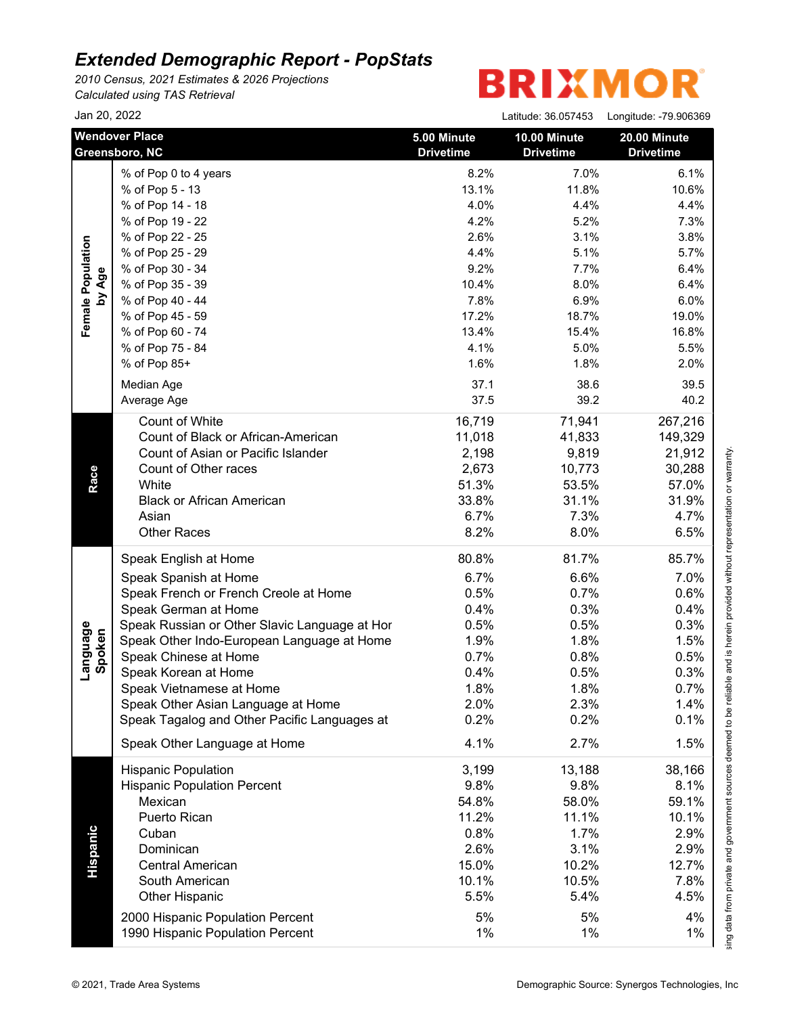*2010 Census, 2021 Estimates & 2026 Projections Calculated using TAS Retrieval*

|                    | Jan 20, 2022                                  |                                 | Latitude: 36.057453              | Longitude: -79.906369            |
|--------------------|-----------------------------------------------|---------------------------------|----------------------------------|----------------------------------|
|                    | <b>Wendover Place</b><br>Greensboro, NC       | 5.00 Minute<br><b>Drivetime</b> | 10.00 Minute<br><b>Drivetime</b> | 20.00 Minute<br><b>Drivetime</b> |
|                    | % of Pop 0 to 4 years                         | 8.2%                            | 7.0%                             | 6.1%                             |
|                    | % of Pop 5 - 13                               | 13.1%                           | 11.8%                            | 10.6%                            |
|                    | % of Pop 14 - 18                              | 4.0%                            | 4.4%                             | 4.4%                             |
|                    | % of Pop 19 - 22                              | 4.2%                            | 5.2%                             | 7.3%                             |
|                    | % of Pop 22 - 25                              | 2.6%                            | 3.1%                             | 3.8%                             |
|                    | % of Pop 25 - 29                              | 4.4%                            | 5.1%                             | 5.7%                             |
|                    | % of Pop 30 - 34                              | 9.2%                            | 7.7%                             | 6.4%                             |
| by Age             | % of Pop 35 - 39                              | 10.4%                           | 8.0%                             | 6.4%                             |
|                    | % of Pop 40 - 44                              | 7.8%                            | 6.9%                             | 6.0%                             |
|                    | % of Pop 45 - 59                              | 17.2%                           | 18.7%                            | 19.0%                            |
|                    | % of Pop 60 - 74                              | 13.4%                           | 15.4%                            | 16.8%                            |
|                    | % of Pop 75 - 84                              | 4.1%                            | 5.0%                             | 5.5%                             |
|                    | % of Pop 85+                                  | 1.6%                            | 1.8%                             | 2.0%                             |
|                    | Median Age                                    | 37.1                            | 38.6                             | 39.5                             |
|                    | Average Age                                   | 37.5                            | 39.2                             | 40.2                             |
|                    | Count of White                                | 16,719                          | 71,941                           | 267,216                          |
|                    | Count of Black or African-American            | 11,018                          | 41,833                           | 149,329                          |
|                    | Count of Asian or Pacific Islander            | 2,198                           | 9,819                            | 21,912                           |
|                    | Count of Other races                          | 2,673                           | 10,773                           | 30,288                           |
| Race               | White                                         | 51.3%                           | 53.5%                            | 57.0%                            |
|                    | <b>Black or African American</b>              | 33.8%                           | 31.1%                            | 31.9%                            |
|                    | Asian                                         | 6.7%                            | 7.3%                             | 4.7%                             |
|                    | <b>Other Races</b>                            | 8.2%                            | 8.0%                             | 6.5%                             |
|                    | Speak English at Home                         | 80.8%                           | 81.7%                            | 85.7%                            |
|                    | Speak Spanish at Home                         | 6.7%                            | 6.6%                             | 7.0%                             |
|                    | Speak French or French Creole at Home         | 0.5%                            | 0.7%                             | 0.6%                             |
|                    | Speak German at Home                          | 0.4%                            | 0.3%                             | 0.4%                             |
|                    | Speak Russian or Other Slavic Language at Hor | 0.5%                            | 0.5%                             | 0.3%                             |
|                    | Speak Other Indo-European Language at Home    | 1.9%                            | 1.8%                             | 1.5%                             |
| Language<br>Spoken | Speak Chinese at Home                         | 0.7%                            | 0.8%                             | 0.5%                             |
|                    | Speak Korean at Home                          | 0.4%                            | 0.5%                             | 0.3%                             |
|                    | Speak Vietnamese at Home                      | 1.8%                            | 1.8%                             | 0.7%                             |
|                    | Speak Other Asian Language at Home            | 2.0%                            | 2.3%                             | 1.4%                             |
|                    | Speak Tagalog and Other Pacific Languages at  | 0.2%                            | 0.2%                             | 0.1%                             |
|                    | Speak Other Language at Home                  | 4.1%                            | 2.7%                             | 1.5%                             |
|                    | <b>Hispanic Population</b>                    | 3,199                           | 13,188                           | 38,166                           |
|                    | <b>Hispanic Population Percent</b>            | 9.8%                            | 9.8%                             | 8.1%                             |
|                    | Mexican                                       | 54.8%                           | 58.0%                            | 59.1%                            |
|                    | <b>Puerto Rican</b>                           | 11.2%                           | 11.1%                            | 10.1%                            |
|                    | Cuban                                         | 0.8%                            | 1.7%                             | 2.9%                             |
|                    | Dominican                                     | 2.6%                            | 3.1%                             | 2.9%                             |
|                    | <b>Central American</b>                       | 15.0%                           | 10.2%                            | 12.7%                            |
|                    | South American                                | 10.1%                           | 10.5%                            | 7.8%                             |
|                    | <b>Other Hispanic</b>                         | 5.5%                            | 5.4%                             | 4.5%                             |
|                    | 2000 Hispanic Population Percent              | 5%                              | 5%                               | 4%                               |
|                    |                                               |                                 | 1%                               | 1%                               |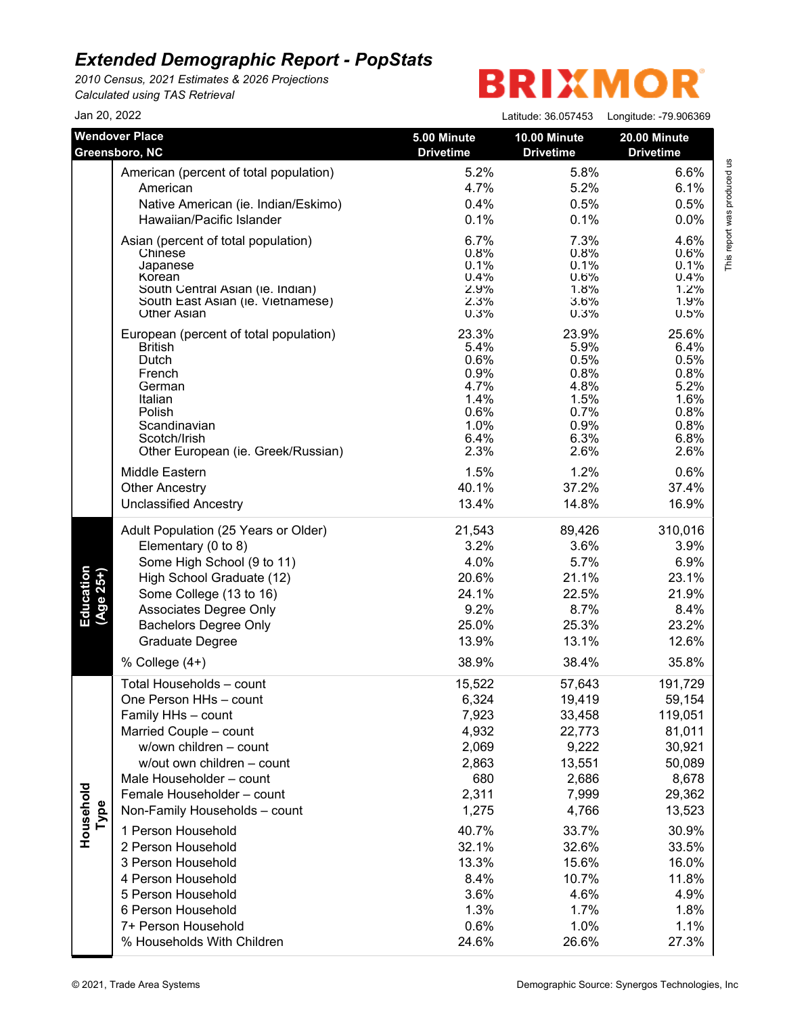*2010 Census, 2021 Estimates & 2026 Projections Calculated using TAS Retrieval*

|                        | Jan 20, 2022                                                                                                                                                                                                                                                                                                                                                                                                                                   |                                                                                                                                                  | Latitude: 36.057453                                                                                                                                     | Longitude: -79.906369                                                                                                                                        |
|------------------------|------------------------------------------------------------------------------------------------------------------------------------------------------------------------------------------------------------------------------------------------------------------------------------------------------------------------------------------------------------------------------------------------------------------------------------------------|--------------------------------------------------------------------------------------------------------------------------------------------------|---------------------------------------------------------------------------------------------------------------------------------------------------------|--------------------------------------------------------------------------------------------------------------------------------------------------------------|
|                        | <b>Wendover Place</b>                                                                                                                                                                                                                                                                                                                                                                                                                          | 5.00 Minute                                                                                                                                      | 10.00 Minute                                                                                                                                            | 20.00 Minute                                                                                                                                                 |
|                        | Greensboro, NC                                                                                                                                                                                                                                                                                                                                                                                                                                 | <b>Drivetime</b>                                                                                                                                 | <b>Drivetime</b>                                                                                                                                        | <b>Drivetime</b>                                                                                                                                             |
|                        | American (percent of total population)                                                                                                                                                                                                                                                                                                                                                                                                         | 5.2%                                                                                                                                             | 5.8%                                                                                                                                                    | 6.6%                                                                                                                                                         |
|                        | American                                                                                                                                                                                                                                                                                                                                                                                                                                       | 4.7%                                                                                                                                             | 5.2%                                                                                                                                                    | 6.1%                                                                                                                                                         |
|                        | Native American (ie. Indian/Eskimo)                                                                                                                                                                                                                                                                                                                                                                                                            | 0.4%                                                                                                                                             | 0.5%                                                                                                                                                    | 0.5%                                                                                                                                                         |
|                        | Hawaiian/Pacific Islander                                                                                                                                                                                                                                                                                                                                                                                                                      | 0.1%                                                                                                                                             | 0.1%                                                                                                                                                    | 0.0%                                                                                                                                                         |
|                        | Asian (percent of total population)                                                                                                                                                                                                                                                                                                                                                                                                            | 6.7%                                                                                                                                             | 7.3%                                                                                                                                                    | 4.6%                                                                                                                                                         |
|                        | Chinese                                                                                                                                                                                                                                                                                                                                                                                                                                        | 0.8%                                                                                                                                             | 0.8%                                                                                                                                                    | 0.6%                                                                                                                                                         |
|                        | Japanese                                                                                                                                                                                                                                                                                                                                                                                                                                       | 0.1%                                                                                                                                             | 0.1%                                                                                                                                                    | 0.1%                                                                                                                                                         |
|                        | Korean                                                                                                                                                                                                                                                                                                                                                                                                                                         | 0.4%                                                                                                                                             | 0.6%                                                                                                                                                    | 0.4%                                                                                                                                                         |
|                        | South Central Asian (ie. Indian)                                                                                                                                                                                                                                                                                                                                                                                                               | 2.9%                                                                                                                                             | 1.8%                                                                                                                                                    | 1.2%                                                                                                                                                         |
|                        | South East Asian (ie. Vietnamese)                                                                                                                                                                                                                                                                                                                                                                                                              | 2.3%                                                                                                                                             | 3.6%                                                                                                                                                    | 1.9%                                                                                                                                                         |
|                        | <b>Other Asian</b>                                                                                                                                                                                                                                                                                                                                                                                                                             | 0.3%                                                                                                                                             | 0.3%                                                                                                                                                    | 0.5%                                                                                                                                                         |
|                        | European (percent of total population)                                                                                                                                                                                                                                                                                                                                                                                                         | 23.3%                                                                                                                                            | 23.9%                                                                                                                                                   | 25.6%                                                                                                                                                        |
|                        | <b>British</b>                                                                                                                                                                                                                                                                                                                                                                                                                                 | 5.4%                                                                                                                                             | 5.9%                                                                                                                                                    | 6.4%                                                                                                                                                         |
|                        | Dutch                                                                                                                                                                                                                                                                                                                                                                                                                                          | 0.6%                                                                                                                                             | 0.5%                                                                                                                                                    | 0.5%                                                                                                                                                         |
|                        | French                                                                                                                                                                                                                                                                                                                                                                                                                                         | 0.9%                                                                                                                                             | 0.8%                                                                                                                                                    | 0.8%                                                                                                                                                         |
|                        | German                                                                                                                                                                                                                                                                                                                                                                                                                                         | 4.7%                                                                                                                                             | 4.8%                                                                                                                                                    | 5.2%                                                                                                                                                         |
|                        | Italian                                                                                                                                                                                                                                                                                                                                                                                                                                        | 1.4%                                                                                                                                             | 1.5%                                                                                                                                                    | 1.6%                                                                                                                                                         |
|                        | Polish                                                                                                                                                                                                                                                                                                                                                                                                                                         | 0.6%                                                                                                                                             | 0.7%                                                                                                                                                    | 0.8%                                                                                                                                                         |
|                        | Scandinavian                                                                                                                                                                                                                                                                                                                                                                                                                                   | 1.0%                                                                                                                                             | 0.9%                                                                                                                                                    | 0.8%                                                                                                                                                         |
|                        | Scotch/Irish                                                                                                                                                                                                                                                                                                                                                                                                                                   | 6.4%                                                                                                                                             | 6.3%                                                                                                                                                    | 6.8%                                                                                                                                                         |
|                        | Other European (ie. Greek/Russian)                                                                                                                                                                                                                                                                                                                                                                                                             | 2.3%                                                                                                                                             | 2.6%                                                                                                                                                    | 2.6%                                                                                                                                                         |
|                        | Middle Eastern                                                                                                                                                                                                                                                                                                                                                                                                                                 | 1.5%                                                                                                                                             | 1.2%                                                                                                                                                    | 0.6%                                                                                                                                                         |
|                        | <b>Other Ancestry</b>                                                                                                                                                                                                                                                                                                                                                                                                                          | 40.1%                                                                                                                                            | 37.2%                                                                                                                                                   | 37.4%                                                                                                                                                        |
|                        | <b>Unclassified Ancestry</b>                                                                                                                                                                                                                                                                                                                                                                                                                   | 13.4%                                                                                                                                            | 14.8%                                                                                                                                                   | 16.9%                                                                                                                                                        |
| Education<br>(Age 25+) | Adult Population (25 Years or Older)                                                                                                                                                                                                                                                                                                                                                                                                           | 21,543                                                                                                                                           | 89,426                                                                                                                                                  | 310,016                                                                                                                                                      |
|                        | Elementary (0 to 8)                                                                                                                                                                                                                                                                                                                                                                                                                            | 3.2%                                                                                                                                             | 3.6%                                                                                                                                                    | 3.9%                                                                                                                                                         |
|                        | Some High School (9 to 11)                                                                                                                                                                                                                                                                                                                                                                                                                     | 4.0%                                                                                                                                             | 5.7%                                                                                                                                                    | 6.9%                                                                                                                                                         |
|                        | High School Graduate (12)                                                                                                                                                                                                                                                                                                                                                                                                                      | 20.6%                                                                                                                                            | 21.1%                                                                                                                                                   | 23.1%                                                                                                                                                        |
|                        | Some College (13 to 16)                                                                                                                                                                                                                                                                                                                                                                                                                        | 24.1%                                                                                                                                            | 22.5%                                                                                                                                                   | 21.9%                                                                                                                                                        |
|                        | Associates Degree Only                                                                                                                                                                                                                                                                                                                                                                                                                         | 9.2%                                                                                                                                             | 8.7%                                                                                                                                                    | 8.4%                                                                                                                                                         |
|                        | <b>Bachelors Degree Only</b>                                                                                                                                                                                                                                                                                                                                                                                                                   | 25.0%                                                                                                                                            | 25.3%                                                                                                                                                   | 23.2%                                                                                                                                                        |
|                        | Graduate Degree                                                                                                                                                                                                                                                                                                                                                                                                                                | 13.9%                                                                                                                                            | 13.1%                                                                                                                                                   | 12.6%                                                                                                                                                        |
|                        | % College (4+)                                                                                                                                                                                                                                                                                                                                                                                                                                 | 38.9%                                                                                                                                            | 38.4%                                                                                                                                                   | 35.8%                                                                                                                                                        |
| Household<br>Type      | Total Households - count<br>One Person HHs - count<br>Family HHs - count<br>Married Couple - count<br>w/own children - count<br>w/out own children - count<br>Male Householder - count<br>Female Householder - count<br>Non-Family Households - count<br>1 Person Household<br>2 Person Household<br>3 Person Household<br>4 Person Household<br>5 Person Household<br>6 Person Household<br>7+ Person Household<br>% Households With Children | 15,522<br>6,324<br>7,923<br>4,932<br>2,069<br>2,863<br>680<br>2,311<br>1,275<br>40.7%<br>32.1%<br>13.3%<br>8.4%<br>3.6%<br>1.3%<br>0.6%<br>24.6% | 57,643<br>19,419<br>33,458<br>22,773<br>9,222<br>13,551<br>2,686<br>7,999<br>4,766<br>33.7%<br>32.6%<br>15.6%<br>10.7%<br>4.6%<br>1.7%<br>1.0%<br>26.6% | 191,729<br>59,154<br>119,051<br>81,011<br>30,921<br>50,089<br>8,678<br>29,362<br>13,523<br>30.9%<br>33.5%<br>16.0%<br>11.8%<br>4.9%<br>1.8%<br>1.1%<br>27.3% |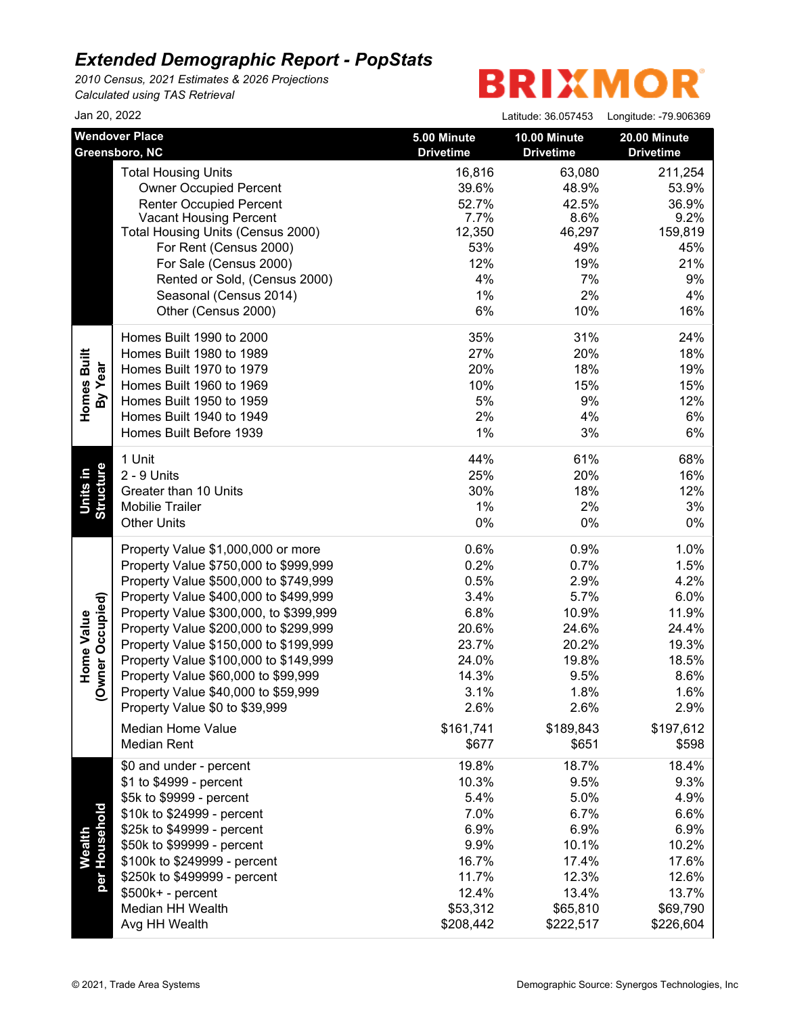*2010 Census, 2021 Estimates & 2026 Projections Calculated using TAS Retrieval*

| Jan 20, 2022                                          |                                                                                                                                                                                                                                                                                                                                                                                                                                                                                                      |                                                                                                                | Latitude: 36.057453                                                                                            | Longitude: -79.906369                                                                                          |
|-------------------------------------------------------|------------------------------------------------------------------------------------------------------------------------------------------------------------------------------------------------------------------------------------------------------------------------------------------------------------------------------------------------------------------------------------------------------------------------------------------------------------------------------------------------------|----------------------------------------------------------------------------------------------------------------|----------------------------------------------------------------------------------------------------------------|----------------------------------------------------------------------------------------------------------------|
|                                                       | <b>Wendover Place</b><br>Greensboro, NC                                                                                                                                                                                                                                                                                                                                                                                                                                                              | 5.00 Minute<br><b>Drivetime</b>                                                                                | 10.00 Minute<br><b>Drivetime</b>                                                                               | 20.00 Minute<br><b>Drivetime</b>                                                                               |
|                                                       | <b>Total Housing Units</b><br><b>Owner Occupied Percent</b><br><b>Renter Occupied Percent</b><br><b>Vacant Housing Percent</b><br>Total Housing Units (Census 2000)<br>For Rent (Census 2000)<br>For Sale (Census 2000)<br>Rented or Sold, (Census 2000)<br>Seasonal (Census 2014)<br>Other (Census 2000)                                                                                                                                                                                            | 16,816<br>39.6%<br>52.7%<br>7.7%<br>12,350<br>53%<br>12%<br>4%<br>1%<br>6%                                     | 63,080<br>48.9%<br>42.5%<br>8.6%<br>46,297<br>49%<br>19%<br>7%<br>2%<br>10%                                    | 211,254<br>53.9%<br>36.9%<br>9.2%<br>159,819<br>45%<br>21%<br>9%<br>4%<br>16%                                  |
| Homes Built<br>By Year                                | Homes Built 1990 to 2000<br>Homes Built 1980 to 1989<br>Homes Built 1970 to 1979<br>Homes Built 1960 to 1969<br>Homes Built 1950 to 1959<br>Homes Built 1940 to 1949<br>Homes Built Before 1939                                                                                                                                                                                                                                                                                                      | 35%<br>27%<br>20%<br>10%<br>5%<br>2%<br>1%                                                                     | 31%<br>20%<br>18%<br>15%<br>9%<br>4%<br>3%                                                                     | 24%<br>18%<br>19%<br>15%<br>12%<br>6%<br>6%                                                                    |
| Structure<br>Units in                                 | 1 Unit<br>2 - 9 Units<br>Greater than 10 Units<br><b>Mobilie Trailer</b><br><b>Other Units</b>                                                                                                                                                                                                                                                                                                                                                                                                       | 44%<br>25%<br>30%<br>1%<br>0%                                                                                  | 61%<br>20%<br>18%<br>2%<br>$0\%$                                                                               | 68%<br>16%<br>12%<br>3%<br>0%                                                                                  |
| vner Occupied)<br>Home Value<br>$\check{\mathcal{S}}$ | Property Value \$1,000,000 or more<br>Property Value \$750,000 to \$999,999<br>Property Value \$500,000 to \$749,999<br>Property Value \$400,000 to \$499,999<br>Property Value \$300,000, to \$399,999<br>Property Value \$200,000 to \$299,999<br>Property Value \$150,000 to \$199,999<br>Property Value \$100,000 to \$149,999<br>Property Value \$60,000 to \$99,999<br>Property Value \$40,000 to \$59,999<br>Property Value \$0 to \$39,999<br><b>Median Home Value</b><br><b>Median Rent</b> | 0.6%<br>0.2%<br>0.5%<br>3.4%<br>6.8%<br>20.6%<br>23.7%<br>24.0%<br>14.3%<br>3.1%<br>2.6%<br>\$161,741<br>\$677 | 0.9%<br>0.7%<br>2.9%<br>5.7%<br>10.9%<br>24.6%<br>20.2%<br>19.8%<br>9.5%<br>1.8%<br>2.6%<br>\$189,843<br>\$651 | 1.0%<br>1.5%<br>4.2%<br>6.0%<br>11.9%<br>24.4%<br>19.3%<br>18.5%<br>8.6%<br>1.6%<br>2.9%<br>\$197,612<br>\$598 |
| per Household<br>Wealth                               | \$0 and under - percent<br>\$1 to \$4999 - percent<br>\$5k to \$9999 - percent<br>\$10k to \$24999 - percent<br>\$25k to \$49999 - percent<br>\$50k to \$99999 - percent<br>\$100k to \$249999 - percent<br>\$250k to \$499999 - percent<br>$$500k+ - percent$<br>Median HH Wealth<br>Avg HH Wealth                                                                                                                                                                                                  | 19.8%<br>10.3%<br>5.4%<br>7.0%<br>6.9%<br>9.9%<br>16.7%<br>11.7%<br>12.4%<br>\$53,312<br>\$208,442             | 18.7%<br>9.5%<br>5.0%<br>6.7%<br>6.9%<br>10.1%<br>17.4%<br>12.3%<br>13.4%<br>\$65,810<br>\$222,517             | 18.4%<br>9.3%<br>4.9%<br>6.6%<br>6.9%<br>10.2%<br>17.6%<br>12.6%<br>13.7%<br>\$69,790<br>\$226,604             |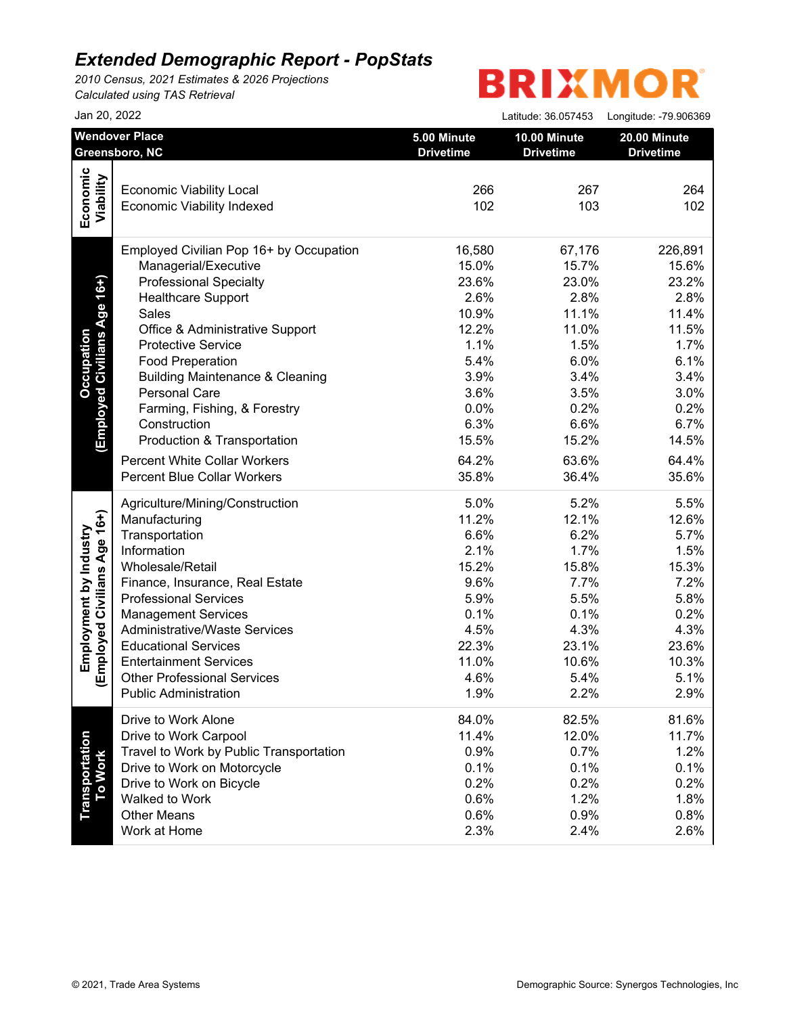*2010 Census, 2021 Estimates & 2026 Projections Calculated using TAS Retrieval*

|                              | Jan 20, 2022                               |                                 | Latitude: 36.057453              | Longitude: -79.906369            |
|------------------------------|--------------------------------------------|---------------------------------|----------------------------------|----------------------------------|
|                              | <b>Wendover Place</b><br>Greensboro, NC    | 5.00 Minute<br><b>Drivetime</b> | 10.00 Minute<br><b>Drivetime</b> | 20.00 Minute<br><b>Drivetime</b> |
|                              |                                            |                                 |                                  |                                  |
|                              | <b>Economic Viability Local</b>            | 266                             | 267                              | 264                              |
| Economic<br>Viability        | <b>Economic Viability Indexed</b>          | 102                             | 103                              | 102                              |
|                              | Employed Civilian Pop 16+ by Occupation    | 16,580                          | 67,176                           | 226,891                          |
|                              | Managerial/Executive                       | 15.0%                           | 15.7%                            | 15.6%                            |
| (Employed Civilians Age 16+) | <b>Professional Specialty</b>              | 23.6%                           | 23.0%                            | 23.2%                            |
|                              | <b>Healthcare Support</b>                  | 2.6%                            | 2.8%                             | 2.8%                             |
|                              | Sales                                      | 10.9%                           | 11.1%                            | 11.4%                            |
|                              | Office & Administrative Support            | 12.2%                           | 11.0%                            | 11.5%                            |
|                              | <b>Protective Service</b>                  | 1.1%                            | 1.5%                             | 1.7%                             |
|                              | <b>Food Preperation</b>                    | 5.4%                            | 6.0%                             | 6.1%                             |
|                              | <b>Building Maintenance &amp; Cleaning</b> | 3.9%                            | 3.4%                             | 3.4%                             |
|                              | Personal Care                              | 3.6%                            | 3.5%                             | 3.0%                             |
|                              | Farming, Fishing, & Forestry               | 0.0%                            | 0.2%                             | 0.2%                             |
|                              | Construction                               | 6.3%                            | 6.6%                             | 6.7%                             |
|                              | Production & Transportation                | 15.5%                           | 15.2%                            | 14.5%                            |
|                              | <b>Percent White Collar Workers</b>        | 64.2%                           | 63.6%                            | 64.4%                            |
|                              | <b>Percent Blue Collar Workers</b>         | 35.8%                           | 36.4%                            | 35.6%                            |
|                              | Agriculture/Mining/Construction            | 5.0%                            | 5.2%                             | 5.5%                             |
|                              | Manufacturing                              | 11.2%                           | 12.1%                            | 12.6%                            |
|                              | Transportation                             | 6.6%                            | 6.2%                             | 5.7%                             |
|                              | Information                                | 2.1%                            | 1.7%                             | 1.5%                             |
|                              | Wholesale/Retail                           | 15.2%                           | 15.8%                            | 15.3%                            |
|                              | Finance, Insurance, Real Estate            | 9.6%                            | 7.7%                             | 7.2%                             |
|                              | <b>Professional Services</b>               | 5.9%                            | 5.5%                             | 5.8%                             |
|                              | <b>Management Services</b>                 | 0.1%                            | 0.1%                             | 0.2%                             |
| Employed Civilians Age 16+)  | <b>Administrative/Waste Services</b>       | 4.5%                            | 4.3%                             | 4.3%                             |
|                              | <b>Educational Services</b>                | 22.3%                           | 23.1%                            | 23.6%                            |
|                              | <b>Entertainment Services</b>              | 11.0%                           | 10.6%                            | 10.3%                            |
|                              | <b>Other Professional Services</b>         | 4.6%                            | 5.4%                             | 5.1%                             |
|                              | <b>Public Administration</b>               | 1.9%                            | 2.2%                             | 2.9%                             |
|                              | Drive to Work Alone                        | 84.0%                           | 82.5%                            | 81.6%                            |
|                              | Drive to Work Carpool                      | 11.4%                           | 12.0%                            | 11.7%                            |
|                              | Travel to Work by Public Transportation    | 0.9%                            | 0.7%                             | 1.2%                             |
|                              | Drive to Work on Motorcycle                | 0.1%                            | 0.1%                             | 0.1%                             |
| To Work                      | Drive to Work on Bicycle                   | 0.2%                            | 0.2%                             | 0.2%                             |
|                              | Walked to Work                             | 0.6%                            | 1.2%                             | 1.8%                             |
|                              | <b>Other Means</b>                         | 0.6%                            | 0.9%                             | 0.8%                             |
|                              | Work at Home                               | 2.3%                            | 2.4%                             | 2.6%                             |